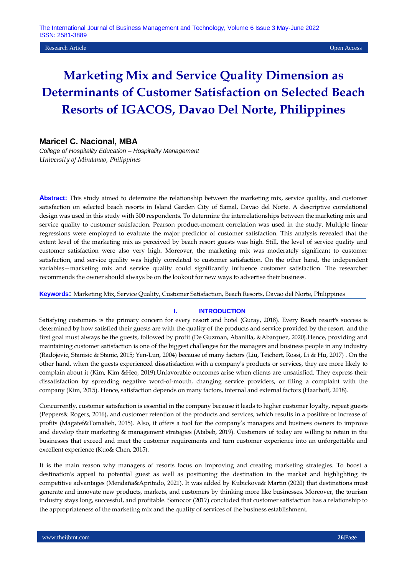## **Research Article Open Access Open Access Open Access Open Access Open Access Open Access Open Access Open Access**

# **Marketing Mix and Service Quality Dimension as Determinants of Customer Satisfaction on Selected Beach Resorts of IGACOS, Davao Del Norte, Philippines**

## **Maricel C. Nacional, MBA**

*College of Hospitality Education – Hospitality Management University of Mindanao, Philippines* 

**Abstract:** This study aimed to determine the relationship between the marketing mix, service quality, and customer satisfaction on selected beach resorts in Island Garden City of Samal, Davao del Norte. A descriptive correlational design was used in this study with 300 respondents. To determine the interrelationships between the marketing mix and service quality to customer satisfaction. Pearson product-moment correlation was used in the study. Multiple linear regressions were employed to evaluate the major predictor of customer satisfaction. This analysis revealed that the extent level of the marketing mix as perceived by beach resort guests was high. Still, the level of service quality and customer satisfaction were also very high. Moreover, the marketing mix was moderately significant to customer satisfaction, and service quality was highly correlated to customer satisfaction. On the other hand, the independent variables—marketing mix and service quality could significantly influence customer satisfaction. The researcher recommends the owner should always be on the lookout for new ways to advertise their business.

**Keywords:** Marketing Mix, Service Quality, Customer Satisfaction, Beach Resorts, Davao del Norte, Philippines

#### **I. INTRODUCTION**

Satisfying customers is the primary concern for every resort and hotel (Guray, 2018). Every Beach resort's success is determined by how satisfied their guests are with the quality of the products and service provided by the resort and the first goal must always be the guests, followed by profit (De Guzman, Abanilla, &Abarquez, 2020).Hence, providing and maintaining customer satisfaction is one of the biggest challenges for the managers and business people in any industry (Radojevic, Stanisic & Stanic, 2015; Yen-Lun, 2004) because of many factors (Liu, Teichert, Rossi, Li & Hu, 2017) . On the other hand, when the guests experienced dissatisfaction with a company's products or services, they are more likely to complain about it (Kim, Kim &Heo, 2019).Unfavorable outcomes arise when clients are unsatisfied. They express their dissatisfaction by spreading negative word-of-mouth, changing service providers, or filing a complaint with the company (Kim, 2015). Hence, satisfaction depends on many factors, internal and external factors (Haarhoff, 2018).

Concurrently, customer satisfaction is essential in the company because it leads to higher customer loyalty, repeat guests (Peppers& Rogers, 2016), and customer retention of the products and services, which results in a positive or increase of profits (Magatef&Tomalieh, 2015). Also, it offers a tool for the company's managers and business owners to improve and develop their marketing & management strategies (Atabeb, 2019). Customers of today are willing to retain in the businesses that exceed and meet the customer requirements and turn customer experience into an unforgettable and excellent experience (Kuo& Chen, 2015).

It is the main reason why managers of resorts focus on improving and creating marketing strategies. To boost a destination's appeal to potential guest as well as positioning the destination in the market and highlighting its competitive advantages (Mendaña&Apritado, 2021). It was added by Kubickova& Martin (2020) that destinations must generate and innovate new products, markets, and customers by thinking more like businesses. Moreover, the tourism industry stays long, successful, and profitable. Somocor (2017) concluded that customer satisfaction has a relationship to the appropriateness of the marketing mix and the quality of services of the business establishment.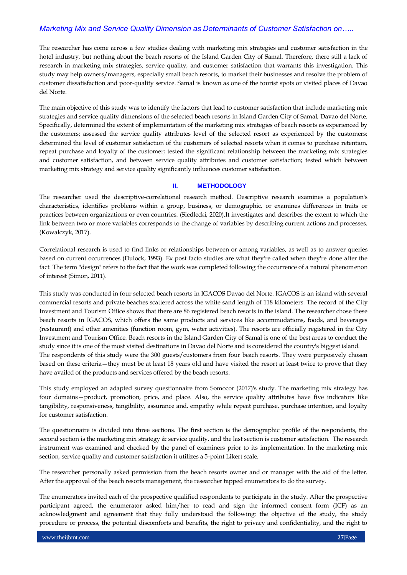The researcher has come across a few studies dealing with marketing mix strategies and customer satisfaction in the hotel industry, but nothing about the beach resorts of the Island Garden City of Samal. Therefore, there still a lack of research in marketing mix strategies, service quality, and customer satisfaction that warrants this investigation. This study may help owners/managers, especially small beach resorts, to market their businesses and resolve the problem of customer dissatisfaction and poor-quality service. Samal is known as one of the tourist spots or visited places of Davao del Norte.

The main objective of this study was to identify the factors that lead to customer satisfaction that include marketing mix strategies and service quality dimensions of the selected beach resorts in Island Garden City of Samal, Davao del Norte. Specifically, determined the extent of implementation of the marketing mix strategies of beach resorts as experienced by the customers; assessed the service quality attributes level of the selected resort as experienced by the customers; determined the level of customer satisfaction of the customers of selected resorts when it comes to purchase retention, repeat purchase and loyalty of the customer; tested the significant relationship between the marketing mix strategies and customer satisfaction, and between service quality attributes and customer satisfaction; tested which between marketing mix strategy and service quality significantly influences customer satisfaction.

## **II. METHODOLOGY**

The researcher used the descriptive-correlational research method. Descriptive research examines a population's characteristics, identifies problems within a group, business, or demographic, or examines differences in traits or practices between organizations or even countries. (Siedlecki, 2020).It investigates and describes the extent to which the link between two or more variables corresponds to the change of variables by describing current actions and processes. (Kowalczyk, 2017).

Correlational research is used to find links or relationships between or among variables, as well as to answer queries based on current occurrences (Dulock, 1993). Ex post facto studies are what they're called when they're done after the fact. The term "design" refers to the fact that the work was completed following the occurrence of a natural phenomenon of interest (Simon, 2011).

This study was conducted in four selected beach resorts in IGACOS Davao del Norte. IGACOS is an island with several commercial resorts and private beaches scattered across the white sand length of 118 kilometers. The record of the City Investment and Tourism Office shows that there are 86 registered beach resorts in the island. The researcher chose these beach resorts in IGACOS, which offers the same products and services like accommodations, foods, and beverages (restaurant) and other amenities (function room, gym, water activities). The resorts are officially registered in the City Investment and Tourism Office. Beach resorts in the Island Garden City of Samal is one of the best areas to conduct the study since it is one of the most visited destinations in Davao del Norte and is considered the country's biggest island. The respondents of this study were the 300 guests/customers from four beach resorts. They were purposively chosen based on these criteria—they must be at least 18 years old and have visited the resort at least twice to prove that they have availed of the products and services offered by the beach resorts.

This study employed an adapted survey questionnaire from Somocor (2017)'s study. The marketing mix strategy has four domains—product, promotion, price, and place. Also, the service quality attributes have five indicators like tangibility, responsiveness, tangibility, assurance and, empathy while repeat purchase, purchase intention, and loyalty for customer satisfaction.

The questionnaire is divided into three sections. The first section is the demographic profile of the respondents, the second section is the marketing mix strategy & service quality, and the last section is customer satisfaction. The research instrument was examined and checked by the panel of examiners prior to its implementation. In the marketing mix section, service quality and customer satisfaction it utilizes a 5-point Likert scale.

The researcher personally asked permission from the beach resorts owner and or manager with the aid of the letter. After the approval of the beach resorts management, the researcher tapped enumerators to do the survey.

The enumerators invited each of the prospective qualified respondents to participate in the study. After the prospective participant agreed, the enumerator asked him/her to read and sign the informed consent form (ICF) as an acknowledgment and agreement that they fully understood the following: the objective of the study, the study procedure or process, the potential discomforts and benefits, the right to privacy and confidentiality, and the right to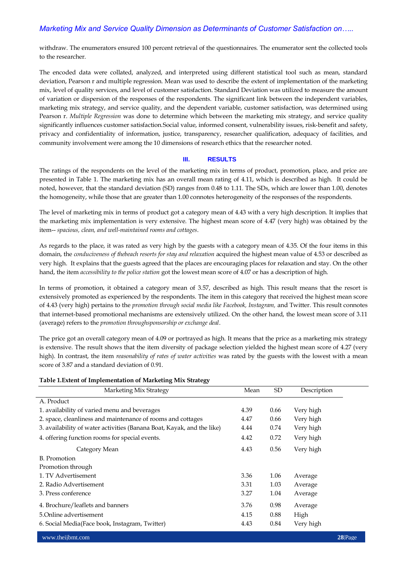withdraw. The enumerators ensured 100 percent retrieval of the questionnaires. The enumerator sent the collected tools to the researcher.

The encoded data were collated, analyzed, and interpreted using different statistical tool such as mean, standard deviation, Pearson r and multiple regression. Mean was used to describe the extent of implementation of the marketing mix, level of quality services, and level of customer satisfaction. Standard Deviation was utilized to measure the amount of variation or dispersion of the responses of the respondents. The significant link between the independent variables, marketing mix strategy, and service quality, and the dependent variable, customer satisfaction, was determined using Pearson r. *Multiple Regression* was done to determine which between the marketing mix strategy, and service quality significantly influences customer satisfaction.Social value, informed consent, vulnerability issues, risk-benefit and safety, privacy and confidentiality of information, justice, transparency, researcher qualification, adequacy of facilities, and community involvement were among the 10 dimensions of research ethics that the researcher noted.

#### **III. RESULTS**

The ratings of the respondents on the level of the marketing mix in terms of product, promotion, place, and price are presented in Table 1. The marketing mix has an overall mean rating of 4.11, which is described as high. It could be noted, however, that the standard deviation (SD) ranges from 0.48 to 1.11. The SDs, which are lower than 1.00, denotes the homogeneity, while those that are greater than 1.00 connotes heterogeneity of the responses of the respondents.

The level of marketing mix in terms of product got a category mean of 4.43 with a very high description. It implies that the marketing mix implementation is very extensive. The highest mean score of 4.47 (very high) was obtained by the item-- *spacious, clean, and well-maintained rooms and cottages*.

As regards to the place, it was rated as very high by the guests with a category mean of 4.35. Of the four items in this domain, the *conduciveness of thebeach resorts for stay and relaxation* acquired the highest mean value of 4.53 or described as very high. It explains that the guests agreed that the places are encouraging places for relaxation and stay. On the other hand, the item *accessibility to the police station* got the lowest mean score of 4.07 or has a description of high.

In terms of promotion, it obtained a category mean of 3.57, described as high. This result means that the resort is extensively promoted as experienced by the respondents. The item in this category that received the highest mean score of 4.43 (very high) pertains to the *promotion through social media like Facebook, Instagram,* and Twitter. This result connotes that internet-based promotional mechanisms are extensively utilized. On the other hand, the lowest mean score of 3.11 (average) refers to the *promotion throughsponsorship or exchange deal*.

The price got an overall category mean of 4.09 or portrayed as high. It means that the price as a marketing mix strategy is extensive. The result shows that the item diversity of package selection yielded the highest mean score of 4.27 (very high). In contrast, the item *reasonability of rates of water activities* was rated by the guests with the lowest with a mean score of 3.87 and a standard deviation of 0.91.

#### **Table 1.Extent of Implementation of Marketing Mix Strategy**

| Marketing Mix Strategy                                                 | Mean | <b>SD</b> | Description |
|------------------------------------------------------------------------|------|-----------|-------------|
| A. Product                                                             |      |           |             |
| 1. availability of varied menu and beverages                           | 4.39 | 0.66      | Very high   |
| 2. space, cleanliness and maintenance of rooms and cottages            | 4.47 | 0.66      | Very high   |
| 3. availability of water activities (Banana Boat, Kayak, and the like) | 4.44 | 0.74      | Very high   |
| 4. offering function rooms for special events.                         | 4.42 | 0.72      | Very high   |
| Category Mean                                                          | 4.43 | 0.56      | Very high   |
| B. Promotion                                                           |      |           |             |
| Promotion through                                                      |      |           |             |
| 1. TV Advertisement                                                    | 3.36 | 1.06      | Average     |
| 2. Radio Advertisement                                                 | 3.31 | 1.03      | Average     |
| 3. Press conference                                                    | 3.27 | 1.04      | Average     |
| 4. Brochure/leaflets and banners                                       | 3.76 | 0.98      | Average     |
| 5. Online advertisement                                                | 4.15 | 0.88      | High        |
| 6. Social Media(Face book, Instagram, Twitter)                         | 4.43 | 0.84      | Very high   |

www.theijbmt.com **28**|Page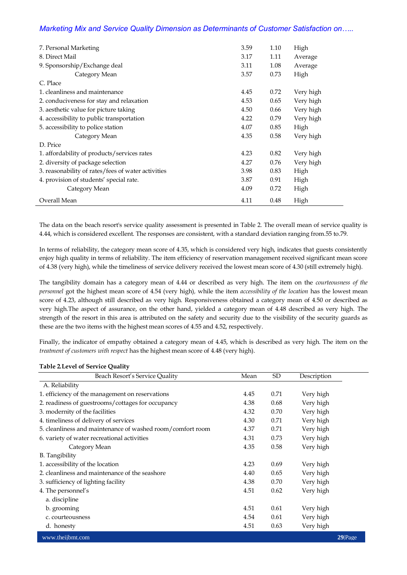| 7. Personal Marketing                              | 3.59 | 1.10 | High      |
|----------------------------------------------------|------|------|-----------|
| 8. Direct Mail                                     | 3.17 | 1.11 | Average   |
| 9. Sponsorship/Exchange deal                       | 3.11 | 1.08 | Average   |
| Category Mean                                      | 3.57 | 0.73 | High      |
| C. Place                                           |      |      |           |
| 1. cleanliness and maintenance                     | 4.45 | 0.72 | Very high |
| 2. conduciveness for stay and relaxation           | 4.53 | 0.65 | Very high |
| 3. aesthetic value for picture taking              | 4.50 | 0.66 | Very high |
| 4. accessibility to public transportation          | 4.22 | 0.79 | Very high |
| 5. accessibility to police station                 | 4.07 | 0.85 | High      |
| Category Mean                                      | 4.35 | 0.58 | Very high |
| D. Price                                           |      |      |           |
| 1. affordability of products/services rates        | 4.23 | 0.82 | Very high |
| 2. diversity of package selection                  | 4.27 | 0.76 | Very high |
| 3. reasonability of rates/fees of water activities | 3.98 | 0.83 | High      |
| 4. provision of students' special rate.            | 3.87 | 0.91 | High      |
| Category Mean                                      | 4.09 | 0.72 | High      |
| Overall Mean                                       | 4.11 | 0.48 | High      |

The data on the beach resort's service quality assessment is presented in Table 2. The overall mean of service quality is 4.44, which is considered excellent. The responses are consistent, with a standard deviation ranging from.55 to.79.

In terms of reliability, the category mean score of 4.35, which is considered very high, indicates that guests consistently enjoy high quality in terms of reliability. The item efficiency of reservation management received significant mean score of 4.38 (very high), while the timeliness of service delivery received the lowest mean score of 4.30 (still extremely high).

The tangibility domain has a category mean of 4.44 or described as very high. The item on the *courteousness of the personnel* got the highest mean score of 4.54 (very high)*,* while the item *accessibility of the location* has the lowest mean score of 4.23, although still described as very high. Responsiveness obtained a category mean of 4.50 or described as very high.The aspect of assurance, on the other hand, yielded a category mean of 4.48 described as very high. The strength of the resort in this area is attributed on the safety and security due to the visibility of the security guards as these are the two items with the highest mean scores of 4.55 and 4.52, respectively.

Finally, the indicator of empathy obtained a category mean of 4.45, which is described as very high. The item on the *treatment of customers with respect* has the highest mean score of 4.48 (very high).

| Beach Resort's Service Quality                             | Mean | SD   | Description |                    |
|------------------------------------------------------------|------|------|-------------|--------------------|
| A. Reliability                                             |      |      |             |                    |
| 1. efficiency of the management on reservations            | 4.45 | 0.71 | Very high   |                    |
| 2. readiness of guestrooms/cottages for occupancy          | 4.38 | 0.68 | Very high   |                    |
| 3. modernity of the facilities                             | 4.32 | 0.70 | Very high   |                    |
| 4. timeliness of delivery of services                      | 4.30 | 0.71 | Very high   |                    |
| 5. cleanliness and maintenance of washed room/comfort room | 4.37 | 0.71 | Very high   |                    |
| 6. variety of water recreational activities                | 4.31 | 0.73 | Very high   |                    |
| Category Mean                                              | 4.35 | 0.58 | Very high   |                    |
| <b>B.</b> Tangibility                                      |      |      |             |                    |
| 1. accessibility of the location                           | 4.23 | 0.69 | Very high   |                    |
| 2. cleanliness and maintenance of the seashore             | 4.40 | 0.65 | Very high   |                    |
| 3. sufficiency of lighting facility                        | 4.38 | 0.70 | Very high   |                    |
| 4. The personnel's                                         | 4.51 | 0.62 | Very high   |                    |
| a. discipline                                              |      |      |             |                    |
| b. grooming                                                | 4.51 | 0.61 | Very high   |                    |
| c. courteousness                                           | 4.54 | 0.61 | Very high   |                    |
| d. honesty                                                 | 4.51 | 0.63 | Very high   |                    |
| www.theijbmt.com                                           |      |      |             | 29 <sub>Page</sub> |

#### **Table 2***.***Level of Service Quality**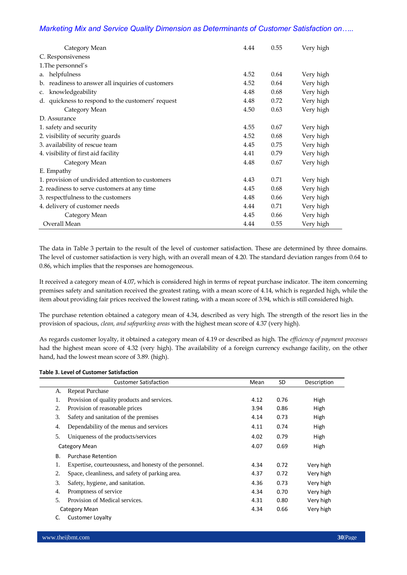| Category Mean                                     | 4.44 | 0.55 | Very high |
|---------------------------------------------------|------|------|-----------|
| C. Responsiveness                                 |      |      |           |
| 1. The personnel's                                |      |      |           |
| helpfulness<br>a.                                 | 4.52 | 0.64 | Very high |
| b. readiness to answer all inquiries of customers | 4.52 | 0.64 | Very high |
| knowledgeability<br>C.                            | 4.48 | 0.68 | Very high |
| d. quickness to respond to the customers' request | 4.48 | 0.72 | Very high |
| Category Mean                                     | 4.50 | 0.63 | Very high |
| D. Assurance                                      |      |      |           |
| 1. safety and security                            | 4.55 | 0.67 | Very high |
| 2. visibility of security guards                  | 4.52 | 0.68 | Very high |
| 3. availability of rescue team                    | 4.45 | 0.75 | Very high |
| 4. visibility of first aid facility               | 4.41 | 0.79 | Very high |
| Category Mean                                     | 4.48 | 0.67 | Very high |
| E. Empathy                                        |      |      |           |
| 1. provision of undivided attention to customers  | 4.43 | 0.71 | Very high |
| 2. readiness to serve customers at any time       | 4.45 | 0.68 | Very high |
| 3. respectfulness to the customers                | 4.48 | 0.66 | Very high |
| 4. delivery of customer needs                     | 4.44 | 0.71 | Very high |
| Category Mean                                     | 4.45 | 0.66 | Very high |
| Overall Mean                                      | 4.44 | 0.55 | Very high |

The data in Table 3 pertain to the result of the level of customer satisfaction. These are determined by three domains. The level of customer satisfaction is very high, with an overall mean of 4.20. The standard deviation ranges from 0.64 to 0.86, which implies that the responses are homogeneous.

It received a category mean of 4.07, which is considered high in terms of repeat purchase indicator. The item concerning premises safety and sanitation received the greatest rating, with a mean score of 4.14, which is regarded high, while the item about providing fair prices received the lowest rating, with a mean score of 3.94, which is still considered high.

The purchase retention obtained a category mean of 4.34, described as very high. The strength of the resort lies in the provision of spacious, *clean, and safeparking areas* with the highest mean score of 4.37 (very high).

As regards customer loyalty, it obtained a category mean of 4.19 or described as high. The *efficiency of payment processes* had the highest mean score of 4.32 (very high). The availability of a foreign currency exchange facility, on the other hand, had the lowest mean score of 3.89. (high).

#### **Table 3. Level of Customer Satisfaction**

|           | <b>Customer Satisfaction</b>                            | Mean | <b>SD</b> | Description |
|-----------|---------------------------------------------------------|------|-----------|-------------|
| A.        | <b>Repeat Purchase</b>                                  |      |           |             |
| 1.        | Provision of quality products and services.             | 4.12 | 0.76      | High        |
| 2.        | Provision of reasonable prices                          | 3.94 | 0.86      | High        |
| 3.        | Safety and sanitation of the premises                   | 4.14 | 0.73      | High        |
| 4.        | Dependability of the menus and services                 | 4.11 | 0.74      | High        |
| 5.        | Uniqueness of the products/services                     | 4.02 | 0.79      | High        |
|           | Category Mean                                           | 4.07 | 0.69      | High        |
| <b>B.</b> | <b>Purchase Retention</b>                               |      |           |             |
| 1.        | Expertise, courteousness, and honesty of the personnel. | 4.34 | 0.72      | Very high   |
| 2.        | Space, cleanliness, and safety of parking area.         | 4.37 | 0.72      | Very high   |
| 3.        | Safety, hygiene, and sanitation.                        | 4.36 | 0.73      | Very high   |
| 4.        | Promptness of service                                   | 4.34 | 0.70      | Very high   |
| 5.        | Provision of Medical services.                          | 4.31 | 0.80      | Very high   |
|           | Category Mean                                           | 4.34 | 0.66      | Very high   |
| C.        | <b>Customer Loyalty</b>                                 |      |           |             |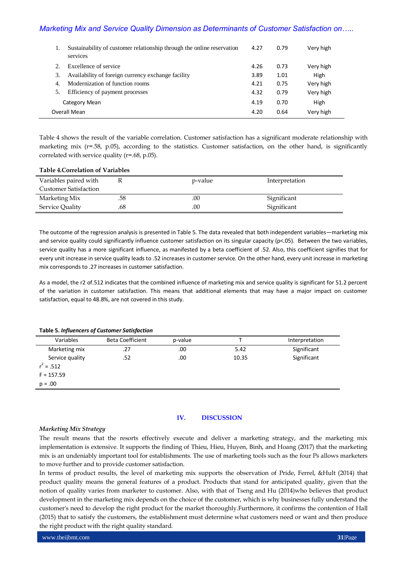|               | Sustainability of customer relationship through the online reservation<br>services | 4.27 | 0.79 | Very high |
|---------------|------------------------------------------------------------------------------------|------|------|-----------|
| $\mathcal{D}$ | Excellence of service                                                              | 4.26 | 0.73 | Very high |
| 3.            | Availability of foreign currency exchange facility                                 | 3.89 | 1.01 | High      |
| 4.            | Modernization of function rooms                                                    | 4.21 | 0.75 | Very high |
|               | Efficiency of payment processes                                                    | 4.32 | 0.79 | Very high |
|               | Category Mean                                                                      | 4.19 | 0.70 | High      |
|               | Overall Mean                                                                       | 4.20 | 0.64 | Very high |

Table 4 shows the result of the variable correlation. Customer satisfaction has a significant moderate relationship with marketing mix (r=.58, p.05), according to the statistics. Customer satisfaction, on the other hand, is significantly correlated with service quality (r=.68, p.05).

#### **Table 4.Correlation of Variables**

| Variables paired with<br><b>Customer Satisfaction</b> |     | p-value | Interpretation |
|-------------------------------------------------------|-----|---------|----------------|
| Marketing Mix                                         | .58 | .00     | Significant    |
| Service Quality                                       | .68 | .00     | Significant    |

The outcome of the regression analysis is presented in Table 5. The data revealed that both independent variables—marketing mix and service quality could significantly influence customer satisfaction on its singular capacity ( $p<0$ 5). Between the two variables, service quality has a more significant influence, as manifested by a beta coefficient of .52. Also, this coefficient signifies that for every unit increase in service quality leads to .52 increases in customer service. On the other hand, every unit increase in marketing mix corresponds to .27 increases in customer satisfaction.

As a model, the r2 of.512 indicates that the combined influence of marketing mix and service quality is significant for 51.2 percent of the variation in customer satisfaction. This means that additional elements that may have a major impact on customer satisfaction, equal to 48.8%, are not covered in this study.

#### **Table 5.** *Influencers of Customer Satisfaction*

| Variables       | <b>Beta Coefficient</b> | p-value |       | Interpretation |
|-----------------|-------------------------|---------|-------|----------------|
| Marketing mix   | .27                     | .00     | 5.42  | Significant    |
| Service quality | .52                     | .00     | 10.35 | Significant    |
| $r^2 = .512$    |                         |         |       |                |
| $F = 157.59$    |                         |         |       |                |
| $p = .00$       |                         |         |       |                |

## **IV. DISCUSSION**

## *Marketing Mix Strategy*

The result means that the resorts effectively execute and deliver a marketing strategy, and the marketing mix implementation is extensive. It supports the finding of Thieu, Hieu, Huyen, Binh, and Hoang (2017) that the marketing mix is an undeniably important tool for establishments. The use of marketing tools such as the four Ps allows marketers to move further and to provide customer satisfaction.

In terms of product results, the level of marketing mix supports the observation of Pride, Ferrel, &Hult (2014) that product quality means the general features of a product. Products that stand for anticipated quality, given that the notion of quality varies from marketer to customer. Also, with that of Tseng and Hu (2014)who believes that product development in the marketing mix depends on the choice of the customer, which is why businesses fully understand the customer's need to develop the right product for the market thoroughly.Furthermore, it confirms the contention of Hall (2015) that to satisfy the customers, the establishment must determine what customers need or want and then produce the right product with the right quality standard.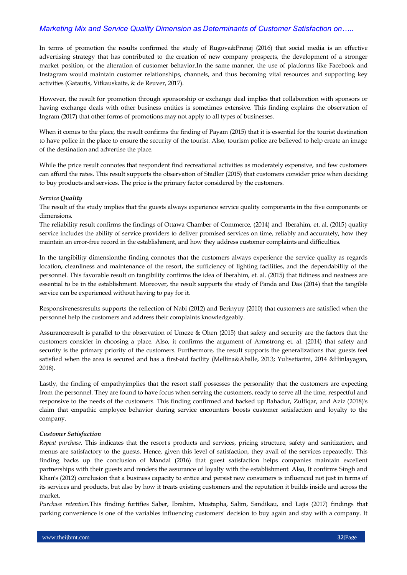In terms of promotion the results confirmed the study of Rugova&Prenaj (2016) that social media is an effective advertising strategy that has contributed to the creation of new company prospects, the development of a stronger market position, or the alteration of customer behavior.In the same manner, the use of platforms like Facebook and Instagram would maintain customer relationships, channels, and thus becoming vital resources and supporting key activities (Gatautis, Vitkauskaite, & de Reuver, 2017).

However, the result for promotion through sponsorship or exchange deal implies that collaboration with sponsors or having exchange deals with other business entities is sometimes extensive. This finding explains the observation of Ingram (2017) that other forms of promotions may not apply to all types of businesses.

When it comes to the place, the result confirms the finding of Payam (2015) that it is essential for the tourist destination to have police in the place to ensure the security of the tourist. Also, tourism police are believed to help create an image of the destination and advertise the place.

While the price result connotes that respondent find recreational activities as moderately expensive, and few customers can afford the rates. This result supports the observation of Stadler (2015) that customers consider price when deciding to buy products and services. The price is the primary factor considered by the customers.

## *Service Quality*

The result of the study implies that the guests always experience service quality components in the five components or dimensions.

The reliability result confirms the findings of Ottawa Chamber of Commerce, (2014) and Iberahim, et. al. (2015) quality service includes the ability of service providers to deliver promised services on time, reliably and accurately, how they maintain an error-free record in the establishment, and how they address customer complaints and difficulties.

In the tangibility dimensionthe finding connotes that the customers always experience the service quality as regards location, cleanliness and maintenance of the resort, the sufficiency of lighting facilities, and the dependability of the personnel. This favorable result on tangibility confirms the idea of Iberahim, et. al. (2015) that tidiness and neatness are essential to be in the establishment. Moreover, the result supports the study of Panda and Das (2014) that the tangible service can be experienced without having to pay for it.

Responsivenessresults supports the reflection of Nabi (2012) and Berinyuy (2010) that customers are satisfied when the personnel help the customers and address their complaints knowledgeably.

Assuranceresult is parallel to the observation of Umeze & Ohen (2015) that safety and security are the factors that the customers consider in choosing a place. Also, it confirms the argument of Armstrong et. al. (2014) that safety and security is the primary priority of the customers. Furthermore, the result supports the generalizations that guests feel satisfied when the area is secured and has a first-aid facility (Mellina&Aballe, 2013; Yulisetiarini, 2014 &Hinlayagan, 2018).

Lastly, the finding of empathyimplies that the resort staff possesses the personality that the customers are expecting from the personnel. They are found to have focus when serving the customers, ready to serve all the time, respectful and responsive to the needs of the customers. This finding confirmed and backed up Bahadur, Zulfiqar, and Aziz (2018)'s claim that empathic employee behavior during service encounters boosts customer satisfaction and loyalty to the company.

#### *Customer Satisfaction*

*Repeat purchase*. This indicates that the resort's products and services, pricing structure, safety and sanitization, and menus are satisfactory to the guests. Hence, given this level of satisfaction, they avail of the services repeatedly. This finding backs up the conclusion of Mandal (2016) that guest satisfaction helps companies maintain excellent partnerships with their guests and renders the assurance of loyalty with the establishment. Also, It confirms Singh and Khan's (2012) conclusion that a business capacity to entice and persist new consumers is influenced not just in terms of its services and products, but also by how it treats existing customers and the reputation it builds inside and across the market.

*Purchase retention.*This finding fortifies Saber, Ibrahim, Mustapha, Salim, Sandikau, and Lajis (2017) findings that parking convenience is one of the variables influencing customers' decision to buy again and stay with a company. It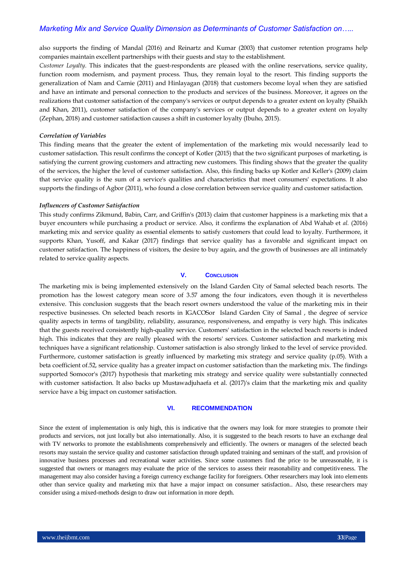also supports the finding of Mandal (2016) and Reinartz and Kumar (2003) that customer retention programs help companies maintain excellent partnerships with their guests and stay to the establishment.

*Customer Loyalty.* This indicates that the guest-respondents are pleased with the online reservations, service quality, function room modernism, and payment process. Thus, they remain loyal to the resort. This finding supports the generalization of Nam and Carnie (2011) and Hinlayagan (2018) that customers become loyal when they are satisfied and have an intimate and personal connection to the products and services of the business. Moreover, it agrees on the realizations that customer satisfaction of the company's services or output depends to a greater extent on loyalty (Shaikh and Khan, 2011), customer satisfaction of the company's services or output depends to a greater extent on loyalty (Zephan, 2018) and customer satisfaction causes a shift in customer loyalty (Ibuho, 2015).

#### *Correlation of Variables*

This finding means that the greater the extent of implementation of the marketing mix would necessarily lead to customer satisfaction. This result confirms the concept of Kotler (2015) that the two significant purposes of marketing, is satisfying the current growing customers and attracting new customers. This finding shows that the greater the quality of the services, the higher the level of customer satisfaction. Also, this finding backs up Kotler and Keller's (2009) claim that service quality is the sum of a service's qualities and characteristics that meet consumers' expectations. It also supports the findings of Agbor (2011), who found a close correlation between service quality and customer satisfaction.

#### *Influencers of Customer Satisfaction*

This study confirms Zikmund, Babin, Carr, and Griffin's (2013) claim that customer happiness is a marketing mix that a buyer encounters while purchasing a product or service. Also, it confirms the explanation of Abd Wahab et *al.* (2016) marketing mix and service quality as essential elements to satisfy customers that could lead to loyalty. Furthermore, it supports Khan, Yusoff, and Kakar (2017) findings that service quality has a favorable and significant impact on customer satisfaction. The happiness of visitors, the desire to buy again, and the growth of businesses are all intimately related to service quality aspects.

## **V. CONCLUSION**

The marketing mix is being implemented extensively on the Island Garden City of Samal selected beach resorts. The promotion has the lowest category mean score of 3.57 among the four indicators, even though it is nevertheless extensive. This conclusion suggests that the beach resort owners understood the value of the marketing mix in their respective businesses. On selected beach resorts in IGACOSor Island Garden City of Samal , the degree of service quality aspects in terms of tangibility, reliability, assurance, responsiveness, and empathy is very high. This indicates that the guests received consistently high-quality service. Customers' satisfaction in the selected beach resorts is indeed high. This indicates that they are really pleased with the resorts' services. Customer satisfaction and marketing mix techniques have a significant relationship. Customer satisfaction is also strongly linked to the level of service provided. Furthermore, customer satisfaction is greatly influenced by marketing mix strategy and service quality (p.05). With a beta coefficient of.52, service quality has a greater impact on customer satisfaction than the marketing mix. The findings supported Somocor's (2017) hypothesis that marketing mix strategy and service quality were substantially connected with customer satisfaction. It also backs up Mustawadjuhaefa et al. (2017)'s claim that the marketing mix and quality service have a big impact on customer satisfaction.

#### **VI. RECOMMENDATION**

Since the extent of implementation is only high, this is indicative that the owners may look for more strategies to promote their products and services, not just locally but also internationally. Also, it is suggested to the beach resorts to have an exchange deal with TV networks to promote the establishments comprehensively and efficiently. The owners or managers of the selected beach resorts may sustain the service quality and customer satisfaction through updated training and seminars of the staff, and provision of innovative business processes and recreational water activities. Since some customers find the price to be unreasonable, it is suggested that owners or managers may evaluate the price of the services to assess their reasonability and competitiveness. The management may also consider having a foreign currency exchange facility for foreigners. Other researchers may look into elements other than service quality and marketing mix that have a major impact on consumer satisfaction.. Also, these researchers may consider using a mixed-methods design to draw out information in more depth.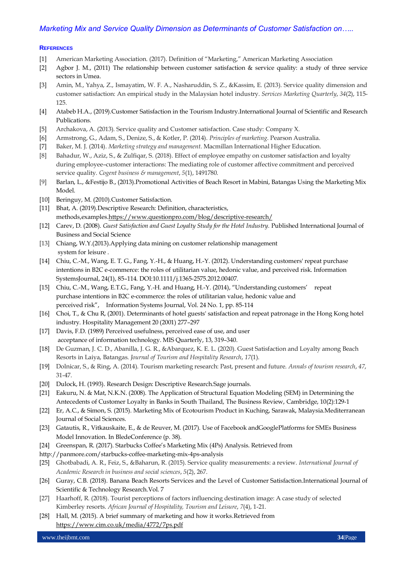## **REFERENCES**

- [1] American Marketing Association. (2017). Definition of "Marketing," American Marketing Association
- [2] Agbor J. M., (2011) The relationship between customer satisfaction & service quality: a study of three service sectors in Umea.
- [3] Amin, M., Yahya, Z., Ismayatim, W. F. A., Nasharuddin, S. Z., &Kassim, E. (2013). Service quality dimension and customer satisfaction: An empirical study in the Malaysian hotel industry. *Services Marketing Quarterly*, *34*(2), 115- 125.
- [4] Atabeb H.A., (2019).Customer Satisfaction in the Tourism Industry.International Journal of Scientific and Research Publications.
- [5] Archakova, A. (2013). Service quality and Customer satisfaction. Case study: Company X.
- [6] Armstrong, G., Adam, S., Denize, S., & Kotler, P. (2014). *Principles of marketing*. Pearson Australia.
- [7] Baker, M. J. (2014). *Marketing strategy and management*. Macmillan International Higher Education.
- [8] Bahadur, W., Aziz, S., & Zulfiqar, S. (2018). Effect of employee empathy on customer satisfaction and loyalty during employee–customer interactions: The mediating role of customer affective commitment and perceived service quality. *Cogent business & management*, *5*(1), 1491780.
- [9] Barlan, L., &Festijo B., (2013).Promotional Activities of Beach Resort in Mabini, Batangas Using the Marketing Mix Model.
- [10] Beringuy, M. (2010).Customer Satisfaction.
- [11] Bhat, A. (2019). Descriptive Research: Definition, characteristics, methods,examples[.https://www.questionpro.com/blog/descriptive-research/](https://www.questionpro.com/blog/descriptive-research/)
- [12] Carev, D. (2008). *Guest Satisfaction and Guest Loyalty Study for the Hotel Industry*. Published International Journal of Business and Social Science
- [13] Chiang, W.Y.(2013).Applying data mining on customer relationship management system for leisure .
- [14] Chiu, C.-M., Wang, E. T. G., Fang, Y.-H., & Huang, H.-Y. (2012). Understanding customers' repeat purchase intentions in B2C e-commerce: the roles of utilitarian value, hedonic value, and perceived risk. Information SystemsJournal, 24(1), 85–114. DOI:10.1111/j.1365-2575.2012.00407.
- [15] Chiu, C.-M., Wang, E.T.G., Fang, Y.-H. and Huang, H.-Y. (2014), "Understanding customers' repeat purchase intentions in B2C e-commerce: the roles of utilitarian value, hedonic value and perceived risk", Information Systems Journal, Vol. 24 No. 1, pp. 85-114
- [16] Choi, T., & Chu R, (2001). Determinants of hotel guests' satisfaction and repeat patronage in the Hong Kong hotel industry. Hospitality Management 20 (2001) 277–297
- [17] Davis, F.D. (1989) Perceived usefulness, perceived ease of use, and user acceptance of information technology. MIS Quarterly, 13, 319–340.
- [18] De Guzman, J. C. D., Abanilla, J. G. R., &Abarquez, K. E. L. (2020). Guest Satisfaction and Loyalty among Beach Resorts in Laiya, Batangas. *Journal of Tourism and Hospitality Research*, *17*(1).
- [19] Dolnicar, S., & Ring, A. (2014). Tourism marketing research: Past, present and future. *Annals of tourism research*, *47*, 31-47.
- [20] Dulock, H. (1993). Research Design: Descriptive Research.Sage journals.
- [21] Eakuru, N. & Mat, N.K.N. (2008). The Application of Structural Equation Modeling (SEM) in Determining the Antecedents of Customer Loyalty in Banks in South Thailand, The Business Review, Cambridge, 10(2):129-1
- [22] Er, A.C., & Simon, S. (2015). Marketing Mix of Ecotourism Product in Kuching, Sarawak, Malaysia.Mediterranean Journal of Social Sciences.
- [23] Gatautis, R., Vitkauskaite, E., & de Reuver, M. (2017). Use of Facebook andGooglePlatforms for SMEs Business Model Innovation. In BledeConference (p. 38).
- [24] Greenspan, R. (2017). Starbucks Coffee's Marketing Mix (4Ps) Analysis. Retrieved from
- <http://panmore.com/starbucks-coffee-marketing-mix-4ps-analysis>
- [25] Ghotbabadi, A. R., Feiz, S., &Baharun, R. (2015). Service quality measurements: a review. *International Journal of Academic Research in business and social sciences*, *5*(2), 267.
- [26] Guray, C.B. (2018). Banana Beach Resorts Services and the Level of Customer Satisfaction.International Journal of Scientific & Technology Research.Vol. 7
- [27] Haarhoff, R. (2018). Tourist perceptions of factors influencing destination image: A case study of selected Kimberley resorts. *African Journal of Hospitality, Tourism and Leisure*, *7*(4), 1-21.
- [28] Hall, M. (2015). A brief summary of marketing and how it works. Retrieved from <https://www.cim.co.uk/media/4772/7ps.pdf>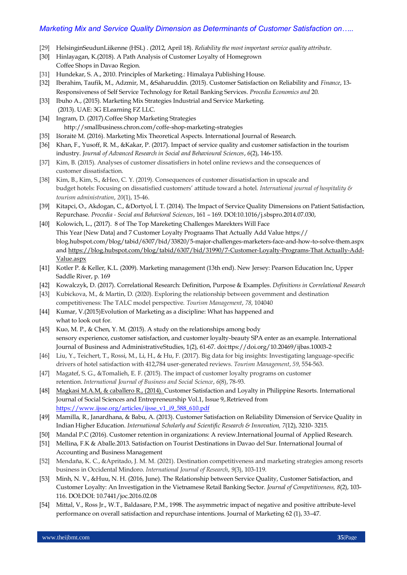- [29] HelsinginSeudunLiikenne (HSL) . (2012, April 18). *Reliability the most important service quality attribute*.
- [30] Hinlayagan, K.(2018). A Path Analysis of Customer Loyalty of Homegrown Coffee Shops in Davao Region.
- [31] Hundekar, S. A., 2010. Principles of Marketing.: Himalaya Publishing House.
- [32] Iberahim, Taufik, M., Adzmir, M., &Saharuddin. (2015). Customer Satisfaction on Reliability and *Finance*, 13- Responsiveness of Self Service Technology for Retail Banking Services. *Procedia Economics and* 20.
- [33] Ibuho A., (2015). Marketing Mix Strategies Industrial and Service Marketing. (2013). UAE: 3G ELearning FZ LLC.
- [34] Ingram, D. (2017).Coffee Shop Marketing Strategies http://smallbusiness.chron.com/coffe-shop-marketing-strategies
- [35] Išoraitė M. (2016). Marketing Mix Theoretical Aspects. International Journal of Research.
- [36] Khan, F., Yusoff, R. M., &Kakar, P. (2017). Impact of service quality and customer satisfaction in the tourism industry. *Journal of Advanced Research in Social and Behavioural Sciences*, *6*(2), 146-155.
- [37] Kim, B. (2015). Analyses of customer dissatisfiers in hotel online reviews and the consequences of customer dissatisfaction.
- [38] Kim, B., Kim, S., &Heo, C. Y. (2019). Consequences of customer dissatisfaction in upscale and budget hotels: Focusing on dissatisfied customers' attitude toward a hotel. *International journal of hospitality & tourism administration*, *20*(1), 15-46.
- [39] Kitapci, O., Akdogan, C., &Dortyol, İ. T. (2014). The Impact of Service Quality Dimensions on Patient Satisfaction, Repurchase. *Procedia - Social and Behavioral Sciences*, 161 – 169. DOI:10.1016/j.sbspro.2014.07.030,
- [40] Kolowich, L., (2017). 8 of The Top Mareketing Challenges Marekters Will Face This Year {New Data} and 7 Customer Loyalty Prograams That Actually Add Value https:// blog.hubspot.com/blog/tabid/6307/bid/33820/5-major-challenges-marketers-face-and-how-to-solve-them.aspx an[d https://blog.hubspot.com/blog/tabid/6307/bid/31990/7-Customer-Loyalty-Programs-That Actually-Add-](https://blog.hubspot.com/blog/tabid/6307/bid/31990/7-Customer-Loyalty-Programs-That%20Actually-Add-Value.aspx)[Value.aspx](https://blog.hubspot.com/blog/tabid/6307/bid/31990/7-Customer-Loyalty-Programs-That%20Actually-Add-Value.aspx)
- [41] Kotler P. & Keller, K.L. (2009). Marketing management (13th end). New Jersey: Pearson Education Inc, Upper Saddle River, p. 169
- [42] Kowalczyk, D. (2017). Correlational Research: Definition, Purpose & Examples. *Definitions in Correlational Research*
- [43] Kubickova, M., & Martin, D. (2020). Exploring the relationship between government and destination competitiveness: The TALC model perspective. *Tourism Management*, *78*, 104040
- [44] Kumar, V.(2015)Evolution of Marketing as a discipline: What has happened and what to look out for.
- [45] Kuo, M. P., & Chen, Y. M. (2015). A study on the relationships among body sensory experience, customer satisfaction, and customer loyalty-beauty SPA enter as an example. International Journal of Business and AdministrativeStudies, 1(2), 61-67. doi:ttps://doi.org/10.20469/ijbas.10003-2
- [46] Liu, Y., Teichert, T., Rossi, M., Li, H., & Hu, F. (2017). Big data for big insights: Investigating language-specific drivers of hotel satisfaction with 412,784 user-generated reviews. *Tourism Management*, *59*, 554-563.
- [47] Magatef, S. G., &Tomalieh, E. F. (2015). The impact of customer loyalty programs on customer retention. *International Journal of Business and Social Science*, *6*(8), 78-93.
- [48] Magkasi M.A.M, & caballero R., (2014). Customer Satisfaction and Loyalty in Philippine Resorts. International Journal of Social Sciences and Entrepreneurship Vol.1, Issue 9,.Retrieved from [https://www.ijsse.org/articles/ijsse\\_v1\\_i9\\_588\\_610.pdf](https://www.ijsse.org/articles/ijsse_v1_i9_588_610.pdf)
- [49] Mamilla, R., Janardhana, & Babu, A. (2013). Customer Satisfaction on Reliability Dimension of Service Quality in Indian Higher Education. *International Scholarly and Scientific Research & Innovation, 7*(12), 3210- 3215.
- [50] Mandal P.C (2016). Customer retention in organizations: A review.International Journal of Applied Research.
- [51] Mellina, F.K & Aballe.2013. Satisfaction on Tourist Destinations in Davao del Sur. International Journal of Accounting and Business Management
- [52] Mendaña, K. C., &Apritado, J. M. M. (2021). Destination competitiveness and marketing strategies among resorts business in Occidental Mindoro. *International Journal of Research*, *9*(3), 103-119.
- [53] Minh, N. V., &Huu, N. H. (2016, June). The Relationship between Service Quality, Customer Satisfaction, and Customer Loyalty: An Investigation in the Vietnamese Retail Banking Sector. *Journal of Competitiveness, 8*(2), 103- 116. DOI:DOI: 10.7441/joc.2016.02.08
- [54] Mittal, V., Ross Jr., W.T., Baldasare, P.M., 1998. The asymmetric impact of negative and positive attribute-level performance on overall satisfaction and repurchase intentions. Journal of Marketing 62 (1), 33–47.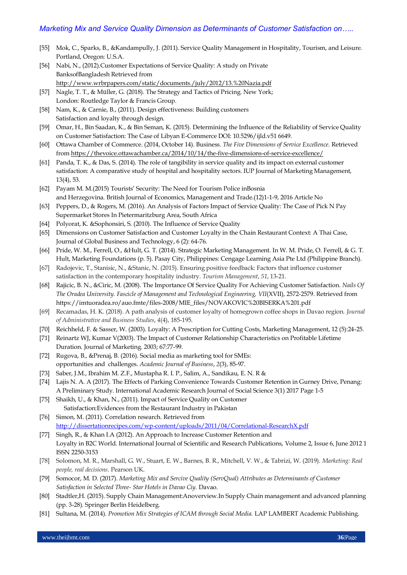- [55] Mok, C., Sparks, B., &Kandampully, J. (2011). Service Quality Management in Hospitality, Tourism, and Leisure. Portland, Oregon: U.S.A.
- [56] Nabi, N., (2012).Customer Expectations of Service Quality: A study on Private BanksofBangladesh Retrieved from <http://www.wrbrpapers.com/static/documents./july/2012/13.%20Nazia.pdf>
- [57] Nagle, T. T., & Müller, G. (2018). The Strategy and Tactics of Pricing. New York; London: Routledge Taylor & Francis Group.
- [58] Nam, K., & Carnie, B., (2011). Design effectiveness: Building customers Satisfaction and loyalty through design.
- [59] Omar, H., Bin Saadan, K., & Bin Seman, K. (2015). Determining the Influence of the Reliability of Service Quality on Customer Satisfaction: The Case of Libyan E-Commerce DOI: 10.5296/ijld.v51 6649.
- [60] Ottawa Chamber of Commerce. (2014, October 14). Business. *The Five Dimensions of Service Excellence*. Retrieved from<https://thevoice.ottawachamber.ca/2014/10/14/the-five-dimensions-of-service-excellence/>
- [61] Panda, T. K., & Das, S. (2014). The role of tangibility in service quality and its impact on external customer satisfaction: A comparative study of hospital and hospitality sectors. IUP Journal of Marketing Management, 13(4), 53.
- [62] Payam M. M.(2015) Tourists' Security: The Need for Tourism Police inBosnia and Herzegovina. British Journal of Economics, Management and Trade.(12)1-1-9, 2016 Article No
- [63] Peppers, D., & Rogers, M. (2016). An Analysis of Factors Impact of Service Quality: The Case of Pick N Pay Supermarket Stores In Pietermaritzburg Area, South Africa
- [64] Polyorat, K. & Sophonsiri, S. (2010). The Influence of Service Quality
- [65] Dimensions on Customer Satisfaction and Customer Loyalty in the Chain Restaurant Context: A Thai Case, Journal of Global Business and Technology, 6 (2): 64-76.
- [66] Pride, W. M., Ferrell, O., &Hult, G. T. (2014). Strategic Marketing Management. In W. M. Pride, O. Ferrell, & G. T. Hult, Marketing Foundations (p. 5). Pasay City, Philippines: Cengage Learning Asia Pte Ltd (Philippine Branch).
- [67] Radojevic, T., Stanisic, N., &Stanic, N. (2015). Ensuring positive feedback: Factors that influence customer satisfaction in the contemporary hospitality industry. *Tourism Management*, *51*, 13-21.
- [68] Rajicic, B. N., &Ciric, M. (2008). The Importance Of Service Quality For Achieving Customer Satisfaction. *Nails Of The Oradea University. Fascicle of Management and Technological Engineering, VII*(XVII), 2572-2579. Retrieved from https://imtuoradea.ro/auo.fmte/files-2008/MIE\_files/NOVAKOVIC%20BISERKA%201.pdf
- [69] Recamadas, H. K. (2018). A path analysis of customer loyalty of homegrown coffee shops in Davao region. *Journal of Administrative and Business Studies*, *4*(4), 185-195.
- [70] Reichheld, F. & Sasser, W. (2003). Loyalty: A Prescription for Cutting Costs, Marketing Management, 12 (5):24-25.
- [71] Reinartz WJ, Kumar V(2003). The Impact of Customer Relationship Characteristics on Profitable Lifetime Duration. Journal of Marketing. 2003; 67:77-99.
- [72] Rugova, B., &Prenaj, B. (2016). Social media as marketing tool for SMEs: opportunities and challenges. *Academic Journal of Business*, *2*(3), 85-97.
- [73] Saber, J.M., Ibrahim M. Z.F., Mustapha R. I. P., Salim, A., Sandikau, E. N. R &
- [74] Lajis N. A. A (2017). The Effects of Parking Convenience Towards Customer Retention in Gurney Drive, Penang: A Preliminary Study. International Academic Research Journal of Social Science 3(1) 2017 Page 1-5
- [75] Shaikh, U., & Khan, N., (2011). Impact of Service Quality on Customer Satisfaction:Evidences from the Restaurant Industry in Pakistan
- [76] Simon, M. (2011). Correlation research. Retrieved from <http://dissertationrecipes.com/wp-content/uploads/2011/04/Correlational-ResearchX.pdf>
- [77] Singh, R., & Khan I.A (2012). An Approach to Increase Customer Retention and Loyalty in B2C World. International Journal of Scientific and Research Publications, Volume 2, Issue 6, June 2012 1 ISSN 2250-3153
- [78] Solomon, M. R., Marshall, G. W., Stuart, E. W., Barnes, B. R., Mitchell, V. W., & Tabrizi, W. (2019). *Marketing: Real people, real decisions*. Pearson UK.
- [79] Somocor, M. D. (2017). *Marketing Mix and Sercive Quality (ServQual) Attributes as Determinants of Customer Satisfaction in Selected Three- Star Hotels in Davao Ciy.* Davao.
- [80] Stadtler,H. (2015). Supply Chain Management:Anoverview.In Supply Chain management and advanced planning (pp. 3-28). Springer Berlin Heidelberg.
- [81] Sultana, M. (2014). *Promotion Mix Strategies of ICAM through Social Media.* LAP LAMBERT Academic Publishing.